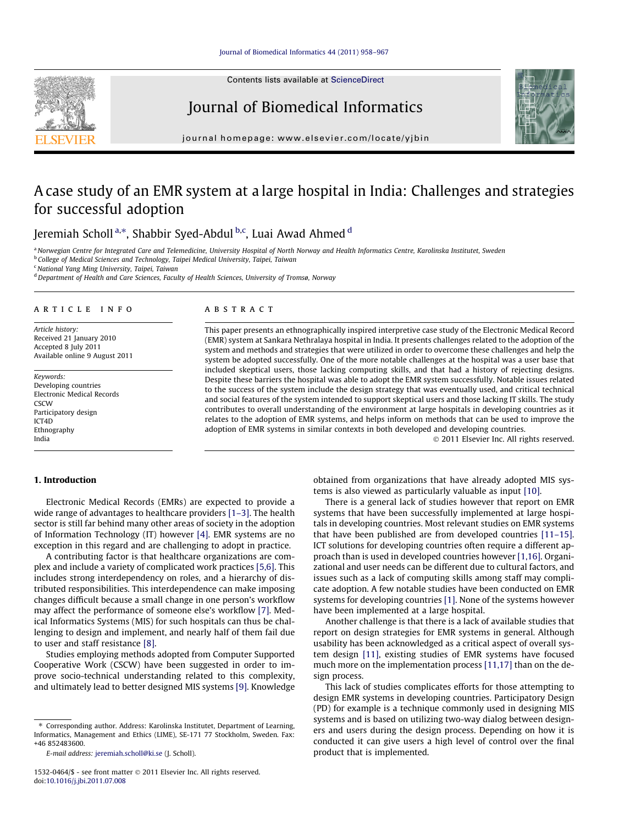Contents lists available at [ScienceDirect](http://www.sciencedirect.com/science/journal/15320464)



Journal of Biomedical Informatics



journal homepage: [www.elsevier.com/locate/yjbin](http://www.elsevier.com/locate/yjbin)

# A case study of an EMR system at a large hospital in India: Challenges and strategies for successful adoption

Jeremiah Scholl <sup>a,</sup>\*, Shabbir Syed-Abdul <sup>b,c</sup>, Luai Awad Ahmed <sup>d</sup>

a Norwegian Centre for Integrated Care and Telemedicine, University Hospital of North Norway and Health Informatics Centre, Karolinska Institutet, Sweden

**b College of Medical Sciences and Technology, Taipei Medical University, Taipei, Taiwan** 

<sup>c</sup> National Yang Ming University, Taipei, Taiwan

<sup>d</sup> Department of Health and Care Sciences, Faculty of Health Sciences, University of Tromsø, Norway

# article info

Article history: Received 21 January 2010 Accepted 8 July 2011 Available online 9 August 2011

Keywords: Developing countries Electronic Medical Records **CSCW** Participatory design ICT4D Ethnography India

#### **ABSTRACT**

This paper presents an ethnographically inspired interpretive case study of the Electronic Medical Record (EMR) system at Sankara Nethralaya hospital in India. It presents challenges related to the adoption of the system and methods and strategies that were utilized in order to overcome these challenges and help the system be adopted successfully. One of the more notable challenges at the hospital was a user base that included skeptical users, those lacking computing skills, and that had a history of rejecting designs. Despite these barriers the hospital was able to adopt the EMR system successfully. Notable issues related to the success of the system include the design strategy that was eventually used, and critical technical and social features of the system intended to support skeptical users and those lacking IT skills. The study contributes to overall understanding of the environment at large hospitals in developing countries as it relates to the adoption of EMR systems, and helps inform on methods that can be used to improve the adoption of EMR systems in similar contexts in both developed and developing countries.

- 2011 Elsevier Inc. All rights reserved.

# 1. Introduction

Electronic Medical Records (EMRs) are expected to provide a wide range of advantages to healthcare providers [1-3]. The health sector is still far behind many other areas of society in the adoption of Information Technology (IT) however [\[4\]](#page-9-0). EMR systems are no exception in this regard and are challenging to adopt in practice.

A contributing factor is that healthcare organizations are complex and include a variety of complicated work practices [\[5,6\]](#page-9-0). This includes strong interdependency on roles, and a hierarchy of distributed responsibilities. This interdependence can make imposing changes difficult because a small change in one person's workflow may affect the performance of someone else's workflow [\[7\]](#page-9-0). Medical Informatics Systems (MIS) for such hospitals can thus be challenging to design and implement, and nearly half of them fail due to user and staff resistance [\[8\].](#page-9-0)

Studies employing methods adopted from Computer Supported Cooperative Work (CSCW) have been suggested in order to improve socio-technical understanding related to this complexity, and ultimately lead to better designed MIS systems [\[9\].](#page-9-0) Knowledge

⇑ Corresponding author. Address: Karolinska Institutet, Department of Learning, Informatics, Management and Ethics (LIME), SE-171 77 Stockholm, Sweden. Fax: +46 852483600.

obtained from organizations that have already adopted MIS systems is also viewed as particularly valuable as input [\[10\].](#page-9-0)

There is a general lack of studies however that report on EMR systems that have been successfully implemented at large hospitals in developing countries. Most relevant studies on EMR systems that have been published are from developed countries [\[11–15\].](#page-9-0) ICT solutions for developing countries often require a different approach than is used in developed countries however [\[1,16\]](#page-9-0). Organizational and user needs can be different due to cultural factors, and issues such as a lack of computing skills among staff may complicate adoption. A few notable studies have been conducted on EMR systems for developing countries [\[1\]](#page-9-0). None of the systems however have been implemented at a large hospital.

Another challenge is that there is a lack of available studies that report on design strategies for EMR systems in general. Although usability has been acknowledged as a critical aspect of overall system design [\[11\],](#page-9-0) existing studies of EMR systems have focused much more on the implementation process [\[11,17\]](#page-9-0) than on the design process.

This lack of studies complicates efforts for those attempting to design EMR systems in developing countries. Participatory Design (PD) for example is a technique commonly used in designing MIS systems and is based on utilizing two-way dialog between designers and users during the design process. Depending on how it is conducted it can give users a high level of control over the final product that is implemented.

E-mail address: [jeremiah.scholl@ki.se](mailto:jeremiah.scholl@ki.se) (J. Scholl).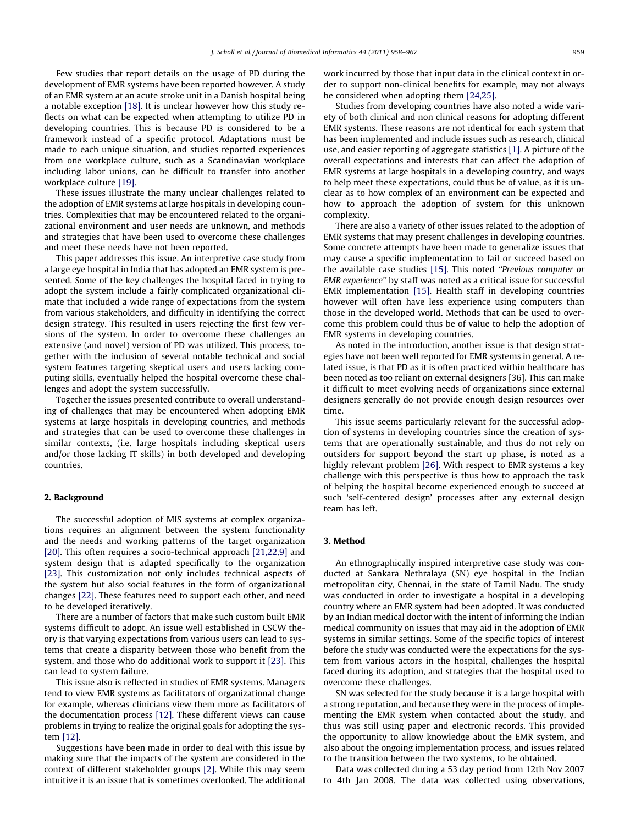Few studies that report details on the usage of PD during the development of EMR systems have been reported however. A study of an EMR system at an acute stroke unit in a Danish hospital being a notable exception [\[18\]](#page-9-0). It is unclear however how this study reflects on what can be expected when attempting to utilize PD in developing countries. This is because PD is considered to be a framework instead of a specific protocol. Adaptations must be made to each unique situation, and studies reported experiences from one workplace culture, such as a Scandinavian workplace including labor unions, can be difficult to transfer into another workplace culture [\[19\]](#page-9-0).

These issues illustrate the many unclear challenges related to the adoption of EMR systems at large hospitals in developing countries. Complexities that may be encountered related to the organizational environment and user needs are unknown, and methods and strategies that have been used to overcome these challenges and meet these needs have not been reported.

This paper addresses this issue. An interpretive case study from a large eye hospital in India that has adopted an EMR system is presented. Some of the key challenges the hospital faced in trying to adopt the system include a fairly complicated organizational climate that included a wide range of expectations from the system from various stakeholders, and difficulty in identifying the correct design strategy. This resulted in users rejecting the first few versions of the system. In order to overcome these challenges an extensive (and novel) version of PD was utilized. This process, together with the inclusion of several notable technical and social system features targeting skeptical users and users lacking computing skills, eventually helped the hospital overcome these challenges and adopt the system successfully.

Together the issues presented contribute to overall understanding of challenges that may be encountered when adopting EMR systems at large hospitals in developing countries, and methods and strategies that can be used to overcome these challenges in similar contexts, (i.e. large hospitals including skeptical users and/or those lacking IT skills) in both developed and developing countries.

## 2. Background

The successful adoption of MIS systems at complex organizations requires an alignment between the system functionality and the needs and working patterns of the target organization [\[20\].](#page-9-0) This often requires a socio-technical approach [\[21,22,9\]](#page-9-0) and system design that is adapted specifically to the organization [\[23\].](#page-9-0) This customization not only includes technical aspects of the system but also social features in the form of organizational changes [\[22\].](#page-9-0) These features need to support each other, and need to be developed iteratively.

There are a number of factors that make such custom built EMR systems difficult to adopt. An issue well established in CSCW theory is that varying expectations from various users can lead to systems that create a disparity between those who benefit from the system, and those who do additional work to support it [\[23\]](#page-9-0). This can lead to system failure.

This issue also is reflected in studies of EMR systems. Managers tend to view EMR systems as facilitators of organizational change for example, whereas clinicians view them more as facilitators of the documentation process [\[12\]](#page-9-0). These different views can cause problems in trying to realize the original goals for adopting the system [\[12\].](#page-9-0)

Suggestions have been made in order to deal with this issue by making sure that the impacts of the system are considered in the context of different stakeholder groups [\[2\].](#page-9-0) While this may seem intuitive it is an issue that is sometimes overlooked. The additional work incurred by those that input data in the clinical context in order to support non-clinical benefits for example, may not always be considered when adopting them [\[24,25\]](#page-9-0).

Studies from developing countries have also noted a wide variety of both clinical and non clinical reasons for adopting different EMR systems. These reasons are not identical for each system that has been implemented and include issues such as research, clinical use, and easier reporting of aggregate statistics [\[1\]](#page-9-0). A picture of the overall expectations and interests that can affect the adoption of EMR systems at large hospitals in a developing country, and ways to help meet these expectations, could thus be of value, as it is unclear as to how complex of an environment can be expected and how to approach the adoption of system for this unknown complexity.

There are also a variety of other issues related to the adoption of EMR systems that may present challenges in developing countries. Some concrete attempts have been made to generalize issues that may cause a specific implementation to fail or succeed based on the available case studies [\[15\].](#page-9-0) This noted ''Previous computer or EMR experience'' by staff was noted as a critical issue for successful EMR implementation [\[15\].](#page-9-0) Health staff in developing countries however will often have less experience using computers than those in the developed world. Methods that can be used to overcome this problem could thus be of value to help the adoption of EMR systems in developing countries.

As noted in the introduction, another issue is that design strategies have not been well reported for EMR systems in general. A related issue, is that PD as it is often practiced within healthcare has been noted as too reliant on external designers [36]. This can make it difficult to meet evolving needs of organizations since external designers generally do not provide enough design resources over time.

This issue seems particularly relevant for the successful adoption of systems in developing countries since the creation of systems that are operationally sustainable, and thus do not rely on outsiders for support beyond the start up phase, is noted as a highly relevant problem [\[26\].](#page-9-0) With respect to EMR systems a key challenge with this perspective is thus how to approach the task of helping the hospital become experienced enough to succeed at such 'self-centered design' processes after any external design team has left.

#### 3. Method

An ethnographically inspired interpretive case study was conducted at Sankara Nethralaya (SN) eye hospital in the Indian metropolitan city, Chennai, in the state of Tamil Nadu. The study was conducted in order to investigate a hospital in a developing country where an EMR system had been adopted. It was conducted by an Indian medical doctor with the intent of informing the Indian medical community on issues that may aid in the adoption of EMR systems in similar settings. Some of the specific topics of interest before the study was conducted were the expectations for the system from various actors in the hospital, challenges the hospital faced during its adoption, and strategies that the hospital used to overcome these challenges.

SN was selected for the study because it is a large hospital with a strong reputation, and because they were in the process of implementing the EMR system when contacted about the study, and thus was still using paper and electronic records. This provided the opportunity to allow knowledge about the EMR system, and also about the ongoing implementation process, and issues related to the transition between the two systems, to be obtained.

Data was collected during a 53 day period from 12th Nov 2007 to 4th Jan 2008. The data was collected using observations,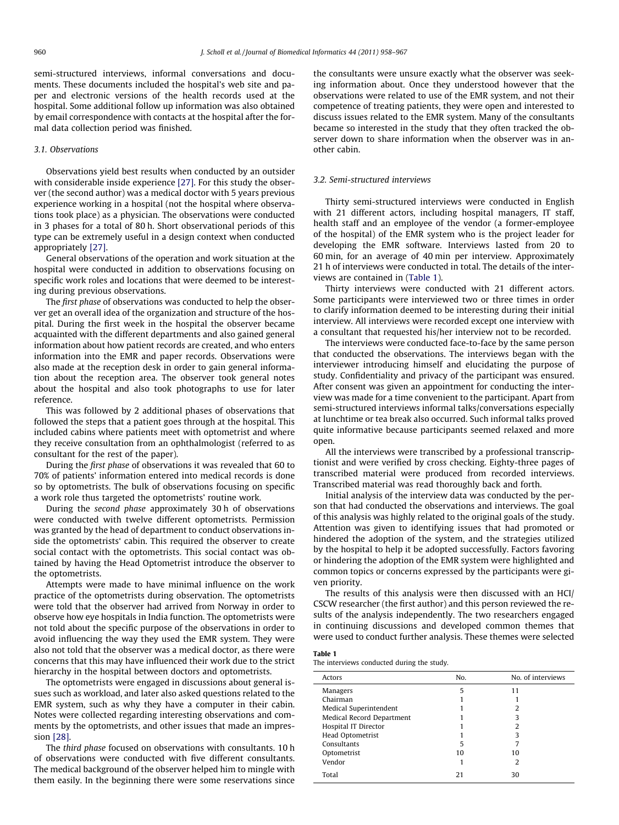semi-structured interviews, informal conversations and documents. These documents included the hospital's web site and paper and electronic versions of the health records used at the hospital. Some additional follow up information was also obtained by email correspondence with contacts at the hospital after the formal data collection period was finished.

#### 3.1. Observations

Observations yield best results when conducted by an outsider with considerable inside experience [\[27\].](#page-9-0) For this study the observer (the second author) was a medical doctor with 5 years previous experience working in a hospital (not the hospital where observations took place) as a physician. The observations were conducted in 3 phases for a total of 80 h. Short observational periods of this type can be extremely useful in a design context when conducted appropriately [\[27\].](#page-9-0)

General observations of the operation and work situation at the hospital were conducted in addition to observations focusing on specific work roles and locations that were deemed to be interesting during previous observations.

The first phase of observations was conducted to help the observer get an overall idea of the organization and structure of the hospital. During the first week in the hospital the observer became acquainted with the different departments and also gained general information about how patient records are created, and who enters information into the EMR and paper records. Observations were also made at the reception desk in order to gain general information about the reception area. The observer took general notes about the hospital and also took photographs to use for later reference.

This was followed by 2 additional phases of observations that followed the steps that a patient goes through at the hospital. This included cabins where patients meet with optometrist and where they receive consultation from an ophthalmologist (referred to as consultant for the rest of the paper).

During the first phase of observations it was revealed that 60 to 70% of patients' information entered into medical records is done so by optometrists. The bulk of observations focusing on specific a work role thus targeted the optometrists' routine work.

During the second phase approximately 30 h of observations were conducted with twelve different optometrists. Permission was granted by the head of department to conduct observations inside the optometrists' cabin. This required the observer to create social contact with the optometrists. This social contact was obtained by having the Head Optometrist introduce the observer to the optometrists.

Attempts were made to have minimal influence on the work practice of the optometrists during observation. The optometrists were told that the observer had arrived from Norway in order to observe how eye hospitals in India function. The optometrists were not told about the specific purpose of the observations in order to avoid influencing the way they used the EMR system. They were also not told that the observer was a medical doctor, as there were concerns that this may have influenced their work due to the strict hierarchy in the hospital between doctors and optometrists.

The optometrists were engaged in discussions about general issues such as workload, and later also asked questions related to the EMR system, such as why they have a computer in their cabin. Notes were collected regarding interesting observations and comments by the optometrists, and other issues that made an impression [\[28\].](#page-9-0)

The third phase focused on observations with consultants. 10 h of observations were conducted with five different consultants. The medical background of the observer helped him to mingle with them easily. In the beginning there were some reservations since the consultants were unsure exactly what the observer was seeking information about. Once they understood however that the observations were related to use of the EMR system, and not their competence of treating patients, they were open and interested to discuss issues related to the EMR system. Many of the consultants became so interested in the study that they often tracked the observer down to share information when the observer was in another cabin.

# 3.2. Semi-structured interviews

Thirty semi-structured interviews were conducted in English with 21 different actors, including hospital managers, IT staff, health staff and an employee of the vendor (a former-employee of the hospital) of the EMR system who is the project leader for developing the EMR software. Interviews lasted from 20 to 60 min, for an average of 40 min per interview. Approximately 21 h of interviews were conducted in total. The details of the interviews are contained in (Table 1).

Thirty interviews were conducted with 21 different actors. Some participants were interviewed two or three times in order to clarify information deemed to be interesting during their initial interview. All interviews were recorded except one interview with a consultant that requested his/her interview not to be recorded.

The interviews were conducted face-to-face by the same person that conducted the observations. The interviews began with the interviewer introducing himself and elucidating the purpose of study. Confidentiality and privacy of the participant was ensured. After consent was given an appointment for conducting the interview was made for a time convenient to the participant. Apart from semi-structured interviews informal talks/conversations especially at lunchtime or tea break also occurred. Such informal talks proved quite informative because participants seemed relaxed and more open.

All the interviews were transcribed by a professional transcriptionist and were verified by cross checking. Eighty-three pages of transcribed material were produced from recorded interviews. Transcribed material was read thoroughly back and forth.

Initial analysis of the interview data was conducted by the person that had conducted the observations and interviews. The goal of this analysis was highly related to the original goals of the study. Attention was given to identifying issues that had promoted or hindered the adoption of the system, and the strategies utilized by the hospital to help it be adopted successfully. Factors favoring or hindering the adoption of the EMR system were highlighted and common topics or concerns expressed by the participants were given priority.

The results of this analysis were then discussed with an HCI/ CSCW researcher (the first author) and this person reviewed the results of the analysis independently. The two researchers engaged in continuing discussions and developed common themes that were used to conduct further analysis. These themes were selected

#### Table 1

The interviews conducted during the study.

| Actors                    | No. | No. of interviews |
|---------------------------|-----|-------------------|
| Managers                  | 5   | 11                |
| Chairman                  |     |                   |
| Medical Superintendent    |     | 2                 |
| Medical Record Department |     | 3                 |
| Hospital IT Director      |     |                   |
| Head Optometrist          |     |                   |
| Consultants               | 5   |                   |
| Optometrist               | 10  | 10                |
| Vendor                    |     | 2                 |
| Total                     | 21  | 30                |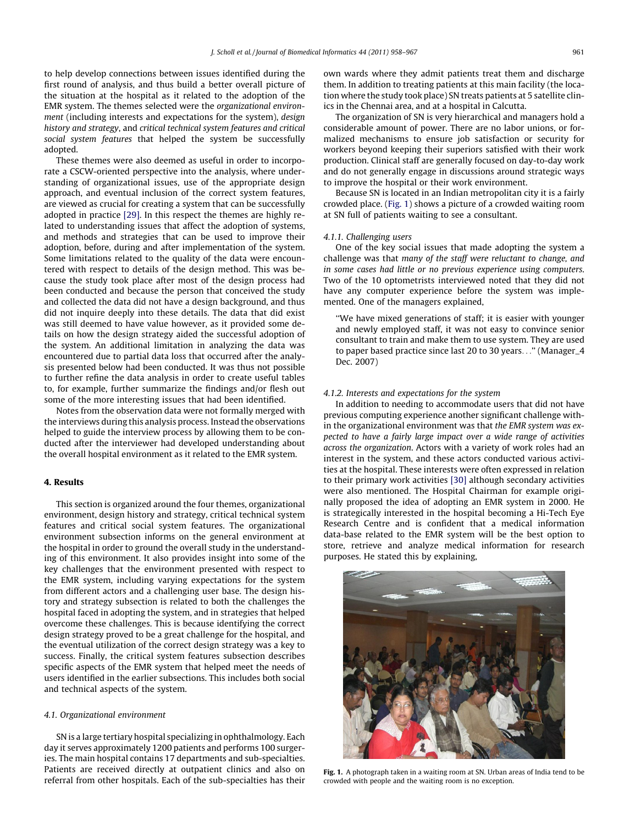to help develop connections between issues identified during the first round of analysis, and thus build a better overall picture of the situation at the hospital as it related to the adoption of the EMR system. The themes selected were the organizational environment (including interests and expectations for the system), design history and strategy, and critical technical system features and critical social system features that helped the system be successfully adopted.

These themes were also deemed as useful in order to incorporate a CSCW-oriented perspective into the analysis, where understanding of organizational issues, use of the appropriate design approach, and eventual inclusion of the correct system features, are viewed as crucial for creating a system that can be successfully adopted in practice [\[29\]](#page-9-0). In this respect the themes are highly related to understanding issues that affect the adoption of systems, and methods and strategies that can be used to improve their adoption, before, during and after implementation of the system. Some limitations related to the quality of the data were encountered with respect to details of the design method. This was because the study took place after most of the design process had been conducted and because the person that conceived the study and collected the data did not have a design background, and thus did not inquire deeply into these details. The data that did exist was still deemed to have value however, as it provided some details on how the design strategy aided the successful adoption of the system. An additional limitation in analyzing the data was encountered due to partial data loss that occurred after the analysis presented below had been conducted. It was thus not possible to further refine the data analysis in order to create useful tables to, for example, further summarize the findings and/or flesh out some of the more interesting issues that had been identified.

Notes from the observation data were not formally merged with the interviews during this analysis process. Instead the observations helped to guide the interview process by allowing them to be conducted after the interviewer had developed understanding about the overall hospital environment as it related to the EMR system.

# 4. Results

This section is organized around the four themes, organizational environment, design history and strategy, critical technical system features and critical social system features. The organizational environment subsection informs on the general environment at the hospital in order to ground the overall study in the understanding of this environment. It also provides insight into some of the key challenges that the environment presented with respect to the EMR system, including varying expectations for the system from different actors and a challenging user base. The design history and strategy subsection is related to both the challenges the hospital faced in adopting the system, and in strategies that helped overcome these challenges. This is because identifying the correct design strategy proved to be a great challenge for the hospital, and the eventual utilization of the correct design strategy was a key to success. Finally, the critical system features subsection describes specific aspects of the EMR system that helped meet the needs of users identified in the earlier subsections. This includes both social and technical aspects of the system.

#### 4.1. Organizational environment

SN is a large tertiary hospital specializing in ophthalmology. Each day it serves approximately 1200 patients and performs 100 surgeries. The main hospital contains 17 departments and sub-specialties. Patients are received directly at outpatient clinics and also on referral from other hospitals. Each of the sub-specialties has their own wards where they admit patients treat them and discharge them. In addition to treating patients at this main facility (the location where the study took place) SN treats patients at 5 satellite clinics in the Chennai area, and at a hospital in Calcutta.

The organization of SN is very hierarchical and managers hold a considerable amount of power. There are no labor unions, or formalized mechanisms to ensure job satisfaction or security for workers beyond keeping their superiors satisfied with their work production. Clinical staff are generally focused on day-to-day work and do not generally engage in discussions around strategic ways to improve the hospital or their work environment.

Because SN is located in an Indian metropolitan city it is a fairly crowded place. (Fig. 1) shows a picture of a crowded waiting room at SN full of patients waiting to see a consultant.

#### 4.1.1. Challenging users

One of the key social issues that made adopting the system a challenge was that many of the staff were reluctant to change, and in some cases had little or no previous experience using computers. Two of the 10 optometrists interviewed noted that they did not have any computer experience before the system was implemented. One of the managers explained,

''We have mixed generations of staff; it is easier with younger and newly employed staff, it was not easy to convince senior consultant to train and make them to use system. They are used to paper based practice since last 20 to 30 years...'' (Manager\_4 Dec. 2007)

## 4.1.2. Interests and expectations for the system

In addition to needing to accommodate users that did not have previous computing experience another significant challenge within the organizational environment was that the EMR system was expected to have a fairly large impact over a wide range of activities across the organization. Actors with a variety of work roles had an interest in the system, and these actors conducted various activities at the hospital. These interests were often expressed in relation to their primary work activities [\[30\]](#page-9-0) although secondary activities were also mentioned. The Hospital Chairman for example originally proposed the idea of adopting an EMR system in 2000. He is strategically interested in the hospital becoming a Hi-Tech Eye Research Centre and is confident that a medical information data-base related to the EMR system will be the best option to store, retrieve and analyze medical information for research purposes. He stated this by explaining,



Fig. 1. A photograph taken in a waiting room at SN. Urban areas of India tend to be crowded with people and the waiting room is no exception.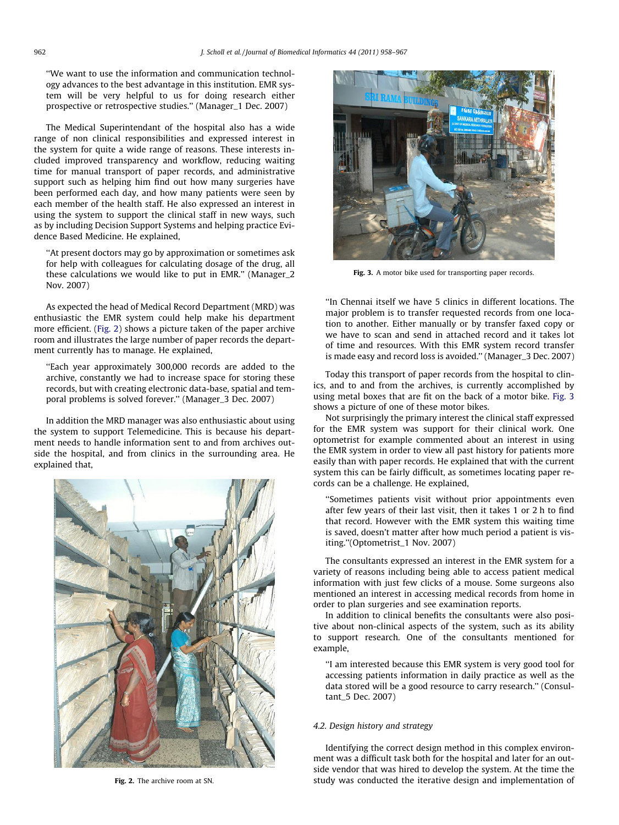''We want to use the information and communication technology advances to the best advantage in this institution. EMR system will be very helpful to us for doing research either prospective or retrospective studies.'' (Manager\_1 Dec. 2007)

The Medical Superintendant of the hospital also has a wide range of non clinical responsibilities and expressed interest in the system for quite a wide range of reasons. These interests included improved transparency and workflow, reducing waiting time for manual transport of paper records, and administrative support such as helping him find out how many surgeries have been performed each day, and how many patients were seen by each member of the health staff. He also expressed an interest in using the system to support the clinical staff in new ways, such as by including Decision Support Systems and helping practice Evidence Based Medicine. He explained,

''At present doctors may go by approximation or sometimes ask for help with colleagues for calculating dosage of the drug, all these calculations we would like to put in EMR.'' (Manager\_2 Nov. 2007)

As expected the head of Medical Record Department (MRD) was enthusiastic the EMR system could help make his department more efficient. (Fig. 2) shows a picture taken of the paper archive room and illustrates the large number of paper records the department currently has to manage. He explained,

''Each year approximately 300,000 records are added to the archive, constantly we had to increase space for storing these records, but with creating electronic data-base, spatial and temporal problems is solved forever.'' (Manager\_3 Dec. 2007)

In addition the MRD manager was also enthusiastic about using the system to support Telemedicine. This is because his department needs to handle information sent to and from archives outside the hospital, and from clinics in the surrounding area. He explained that,





Fig. 3. A motor bike used for transporting paper records.

''In Chennai itself we have 5 clinics in different locations. The major problem is to transfer requested records from one location to another. Either manually or by transfer faxed copy or we have to scan and send in attached record and it takes lot of time and resources. With this EMR system record transfer is made easy and record loss is avoided.'' (Manager\_3 Dec. 2007)

Today this transport of paper records from the hospital to clinics, and to and from the archives, is currently accomplished by using metal boxes that are fit on the back of a motor bike. Fig. 3 shows a picture of one of these motor bikes.

Not surprisingly the primary interest the clinical staff expressed for the EMR system was support for their clinical work. One optometrist for example commented about an interest in using the EMR system in order to view all past history for patients more easily than with paper records. He explained that with the current system this can be fairly difficult, as sometimes locating paper records can be a challenge. He explained,

''Sometimes patients visit without prior appointments even after few years of their last visit, then it takes 1 or 2 h to find that record. However with the EMR system this waiting time is saved, doesn't matter after how much period a patient is visiting.''(Optometrist\_1 Nov. 2007)

The consultants expressed an interest in the EMR system for a variety of reasons including being able to access patient medical information with just few clicks of a mouse. Some surgeons also mentioned an interest in accessing medical records from home in order to plan surgeries and see examination reports.

In addition to clinical benefits the consultants were also positive about non-clinical aspects of the system, such as its ability to support research. One of the consultants mentioned for example,

''I am interested because this EMR system is very good tool for accessing patients information in daily practice as well as the data stored will be a good resource to carry research.'' (Consultant\_5 Dec. 2007)

# 4.2. Design history and strategy

Identifying the correct design method in this complex environment was a difficult task both for the hospital and later for an outside vendor that was hired to develop the system. At the time the Fig. 2. The archive room at SN. Study was conducted the iterative design and implementation of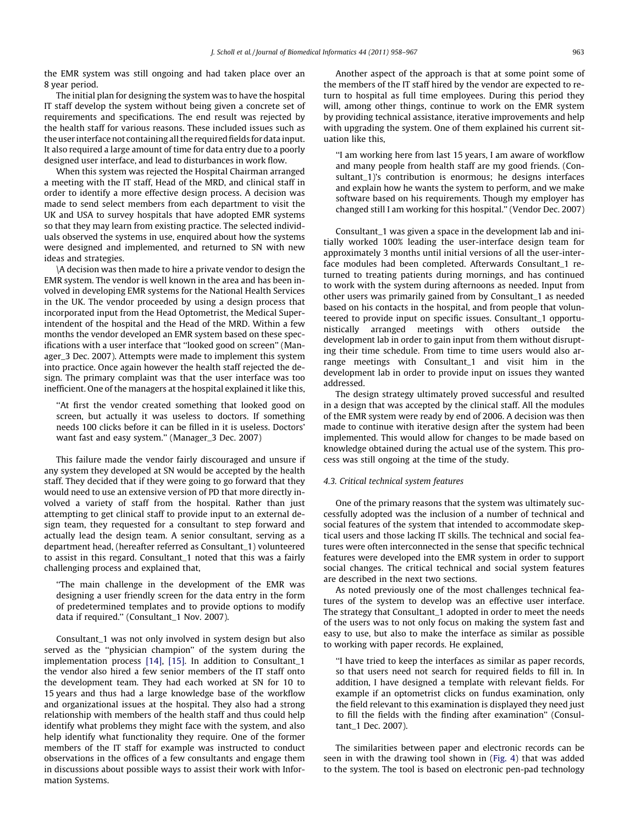the EMR system was still ongoing and had taken place over an 8 year period.

The initial plan for designing the system was to have the hospital IT staff develop the system without being given a concrete set of requirements and specifications. The end result was rejected by the health staff for various reasons. These included issues such as the user interface not containing all the required fields for data input. It also required a large amount of time for data entry due to a poorly designed user interface, and lead to disturbances in work flow.

When this system was rejected the Hospital Chairman arranged a meeting with the IT staff, Head of the MRD, and clinical staff in order to identify a more effective design process. A decision was made to send select members from each department to visit the UK and USA to survey hospitals that have adopted EMR systems so that they may learn from existing practice. The selected individuals observed the systems in use, enquired about how the systems were designed and implemented, and returned to SN with new ideas and strategies.

\A decision was then made to hire a private vendor to design the EMR system. The vendor is well known in the area and has been involved in developing EMR systems for the National Health Services in the UK. The vendor proceeded by using a design process that incorporated input from the Head Optometrist, the Medical Superintendent of the hospital and the Head of the MRD. Within a few months the vendor developed an EMR system based on these specifications with a user interface that ''looked good on screen'' (Manager\_3 Dec. 2007). Attempts were made to implement this system into practice. Once again however the health staff rejected the design. The primary complaint was that the user interface was too inefficient. One of the managers at the hospital explained it like this,

''At first the vendor created something that looked good on screen, but actually it was useless to doctors. If something needs 100 clicks before it can be filled in it is useless. Doctors' want fast and easy system.'' (Manager\_3 Dec. 2007)

This failure made the vendor fairly discouraged and unsure if any system they developed at SN would be accepted by the health staff. They decided that if they were going to go forward that they would need to use an extensive version of PD that more directly involved a variety of staff from the hospital. Rather than just attempting to get clinical staff to provide input to an external design team, they requested for a consultant to step forward and actually lead the design team. A senior consultant, serving as a department head, (hereafter referred as Consultant\_1) volunteered to assist in this regard. Consultant\_1 noted that this was a fairly challenging process and explained that,

''The main challenge in the development of the EMR was designing a user friendly screen for the data entry in the form of predetermined templates and to provide options to modify data if required.'' (Consultant\_1 Nov. 2007).

Consultant\_1 was not only involved in system design but also served as the ''physician champion'' of the system during the implementation process [\[14\],](#page-9-0) [\[15\].](#page-9-0) In addition to Consultant\_1 the vendor also hired a few senior members of the IT staff onto the development team. They had each worked at SN for 10 to 15 years and thus had a large knowledge base of the workflow and organizational issues at the hospital. They also had a strong relationship with members of the health staff and thus could help identify what problems they might face with the system, and also help identify what functionality they require. One of the former members of the IT staff for example was instructed to conduct observations in the offices of a few consultants and engage them in discussions about possible ways to assist their work with Information Systems.

Another aspect of the approach is that at some point some of the members of the IT staff hired by the vendor are expected to return to hospital as full time employees. During this period they will, among other things, continue to work on the EMR system by providing technical assistance, iterative improvements and help with upgrading the system. One of them explained his current situation like this,

''I am working here from last 15 years, I am aware of workflow and many people from health staff are my good friends. (Consultant\_1)'s contribution is enormous; he designs interfaces and explain how he wants the system to perform, and we make software based on his requirements. Though my employer has changed still I am working for this hospital.'' (Vendor Dec. 2007)

Consultant\_1 was given a space in the development lab and initially worked 100% leading the user-interface design team for approximately 3 months until initial versions of all the user-interface modules had been completed. Afterwards Consultant\_1 returned to treating patients during mornings, and has continued to work with the system during afternoons as needed. Input from other users was primarily gained from by Consultant\_1 as needed based on his contacts in the hospital, and from people that volunteered to provide input on specific issues. Consultant\_1 opportunistically arranged meetings with others outside the development lab in order to gain input from them without disrupting their time schedule. From time to time users would also arrange meetings with Consultant\_1 and visit him in the development lab in order to provide input on issues they wanted addressed.

The design strategy ultimately proved successful and resulted in a design that was accepted by the clinical staff. All the modules of the EMR system were ready by end of 2006. A decision was then made to continue with iterative design after the system had been implemented. This would allow for changes to be made based on knowledge obtained during the actual use of the system. This process was still ongoing at the time of the study.

# 4.3. Critical technical system features

One of the primary reasons that the system was ultimately successfully adopted was the inclusion of a number of technical and social features of the system that intended to accommodate skeptical users and those lacking IT skills. The technical and social features were often interconnected in the sense that specific technical features were developed into the EMR system in order to support social changes. The critical technical and social system features are described in the next two sections.

As noted previously one of the most challenges technical features of the system to develop was an effective user interface. The strategy that Consultant\_1 adopted in order to meet the needs of the users was to not only focus on making the system fast and easy to use, but also to make the interface as similar as possible to working with paper records. He explained,

''I have tried to keep the interfaces as similar as paper records, so that users need not search for required fields to fill in. In addition, I have designed a template with relevant fields. For example if an optometrist clicks on fundus examination, only the field relevant to this examination is displayed they need just to fill the fields with the finding after examination'' (Consultant\_1 Dec. 2007).

The similarities between paper and electronic records can be seen in with the drawing tool shown in ([Fig. 4](#page-6-0)) that was added to the system. The tool is based on electronic pen-pad technology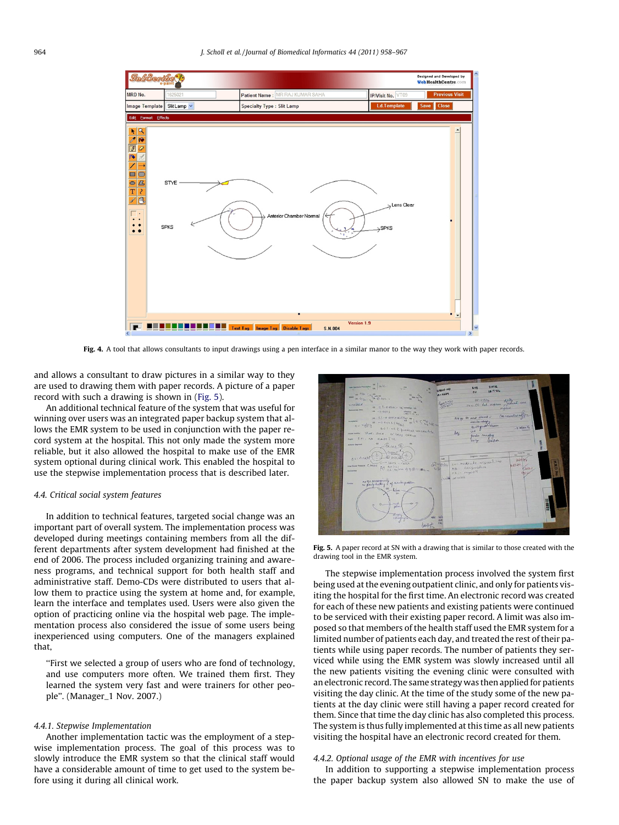<span id="page-6-0"></span>

Fig. 4. A tool that allows consultants to input drawings using a pen interface in a similar manor to the way they work with paper records.

and allows a consultant to draw pictures in a similar way to they are used to drawing them with paper records. A picture of a paper record with such a drawing is shown in (Fig. 5).

An additional technical feature of the system that was useful for winning over users was an integrated paper backup system that allows the EMR system to be used in conjunction with the paper record system at the hospital. This not only made the system more reliable, but it also allowed the hospital to make use of the EMR system optional during clinical work. This enabled the hospital to use the stepwise implementation process that is described later.

#### 4.4. Critical social system features

In addition to technical features, targeted social change was an important part of overall system. The implementation process was developed during meetings containing members from all the different departments after system development had finished at the end of 2006. The process included organizing training and awareness programs, and technical support for both health staff and administrative staff. Demo-CDs were distributed to users that allow them to practice using the system at home and, for example, learn the interface and templates used. Users were also given the option of practicing online via the hospital web page. The implementation process also considered the issue of some users being inexperienced using computers. One of the managers explained that,

''First we selected a group of users who are fond of technology, and use computers more often. We trained them first. They learned the system very fast and were trainers for other people''. (Manager\_1 Nov. 2007.)

#### 4.4.1. Stepwise Implementation

Another implementation tactic was the employment of a stepwise implementation process. The goal of this process was to slowly introduce the EMR system so that the clinical staff would have a considerable amount of time to get used to the system before using it during all clinical work.



Fig. 5. A paper record at SN with a drawing that is similar to those created with the drawing tool in the EMR system.

The stepwise implementation process involved the system first being used at the evening outpatient clinic, and only for patients visiting the hospital for the first time. An electronic record was created for each of these new patients and existing patients were continued to be serviced with their existing paper record. A limit was also imposed so that members of the health staff used the EMR system for a limited number of patients each day, and treated the rest of their patients while using paper records. The number of patients they serviced while using the EMR system was slowly increased until all the new patients visiting the evening clinic were consulted with an electronic record. The same strategy was then applied for patients visiting the day clinic. At the time of the study some of the new patients at the day clinic were still having a paper record created for them. Since that time the day clinic has also completed this process. The system is thus fully implemented at this time as all new patients visiting the hospital have an electronic record created for them.

# 4.4.2. Optional usage of the EMR with incentives for use

In addition to supporting a stepwise implementation process the paper backup system also allowed SN to make the use of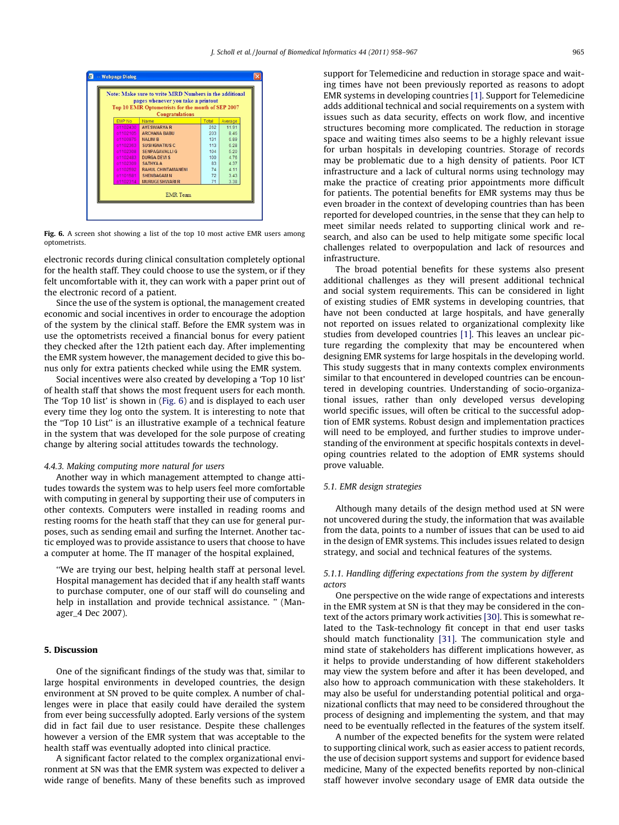

Fig. 6. A screen shot showing a list of the top 10 most active EMR users among optometrists.

electronic records during clinical consultation completely optional for the health staff. They could choose to use the system, or if they felt uncomfortable with it, they can work with a paper print out of the electronic record of a patient.

Since the use of the system is optional, the management created economic and social incentives in order to encourage the adoption of the system by the clinical staff. Before the EMR system was in use the optometrists received a financial bonus for every patient they checked after the 12th patient each day. After implementing the EMR system however, the management decided to give this bonus only for extra patients checked while using the EMR system.

Social incentives were also created by developing a 'Top 10 list' of health staff that shows the most frequent users for each month. The 'Top 10 list' is shown in (Fig. 6) and is displayed to each user every time they log onto the system. It is interesting to note that the ''Top 10 List'' is an illustrative example of a technical feature in the system that was developed for the sole purpose of creating change by altering social attitudes towards the technology.

#### 4.4.3. Making computing more natural for users

Another way in which management attempted to change attitudes towards the system was to help users feel more comfortable with computing in general by supporting their use of computers in other contexts. Computers were installed in reading rooms and resting rooms for the heath staff that they can use for general purposes, such as sending email and surfing the Internet. Another tactic employed was to provide assistance to users that choose to have a computer at home. The IT manager of the hospital explained,

''We are trying our best, helping health staff at personal level. Hospital management has decided that if any health staff wants to purchase computer, one of our staff will do counseling and help in installation and provide technical assistance. " (Manager\_4 Dec 2007).

# 5. Discussion

One of the significant findings of the study was that, similar to large hospital environments in developed countries, the design environment at SN proved to be quite complex. A number of challenges were in place that easily could have derailed the system from ever being successfully adopted. Early versions of the system did in fact fail due to user resistance. Despite these challenges however a version of the EMR system that was acceptable to the health staff was eventually adopted into clinical practice.

A significant factor related to the complex organizational environment at SN was that the EMR system was expected to deliver a wide range of benefits. Many of these benefits such as improved support for Telemedicine and reduction in storage space and waiting times have not been previously reported as reasons to adopt EMR systems in developing countries [\[1\].](#page-9-0) Support for Telemedicine adds additional technical and social requirements on a system with issues such as data security, effects on work flow, and incentive structures becoming more complicated. The reduction in storage space and waiting times also seems to be a highly relevant issue for urban hospitals in developing countries. Storage of records may be problematic due to a high density of patients. Poor ICT infrastructure and a lack of cultural norms using technology may make the practice of creating prior appointments more difficult for patients. The potential benefits for EMR systems may thus be even broader in the context of developing countries than has been reported for developed countries, in the sense that they can help to meet similar needs related to supporting clinical work and research, and also can be used to help mitigate some specific local challenges related to overpopulation and lack of resources and infrastructure.

The broad potential benefits for these systems also present additional challenges as they will present additional technical and social system requirements. This can be considered in light of existing studies of EMR systems in developing countries, that have not been conducted at large hospitals, and have generally not reported on issues related to organizational complexity like studies from developed countries [\[1\].](#page-9-0) This leaves an unclear picture regarding the complexity that may be encountered when designing EMR systems for large hospitals in the developing world. This study suggests that in many contexts complex environments similar to that encountered in developed countries can be encountered in developing countries. Understanding of socio-organizational issues, rather than only developed versus developing world specific issues, will often be critical to the successful adoption of EMR systems. Robust design and implementation practices will need to be employed, and further studies to improve understanding of the environment at specific hospitals contexts in developing countries related to the adoption of EMR systems should prove valuable.

# 5.1. EMR design strategies

Although many details of the design method used at SN were not uncovered during the study, the information that was available from the data, points to a number of issues that can be used to aid in the design of EMR systems. This includes issues related to design strategy, and social and technical features of the systems.

# 5.1.1. Handling differing expectations from the system by different actors

One perspective on the wide range of expectations and interests in the EMR system at SN is that they may be considered in the context of the actors primary work activities [\[30\]](#page-9-0). This is somewhat related to the Task-technology fit concept in that end user tasks should match functionality [\[31\].](#page-9-0) The communication style and mind state of stakeholders has different implications however, as it helps to provide understanding of how different stakeholders may view the system before and after it has been developed, and also how to approach communication with these stakeholders. It may also be useful for understanding potential political and organizational conflicts that may need to be considered throughout the process of designing and implementing the system, and that may need to be eventually reflected in the features of the system itself.

A number of the expected benefits for the system were related to supporting clinical work, such as easier access to patient records, the use of decision support systems and support for evidence based medicine, Many of the expected benefits reported by non-clinical staff however involve secondary usage of EMR data outside the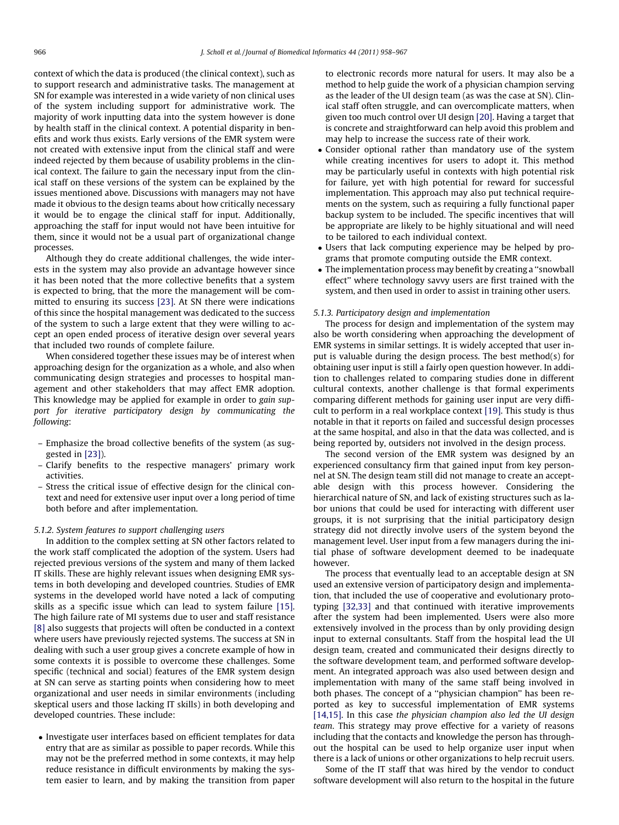context of which the data is produced (the clinical context), such as to support research and administrative tasks. The management at SN for example was interested in a wide variety of non clinical uses of the system including support for administrative work. The majority of work inputting data into the system however is done by health staff in the clinical context. A potential disparity in benefits and work thus exists. Early versions of the EMR system were not created with extensive input from the clinical staff and were indeed rejected by them because of usability problems in the clinical context. The failure to gain the necessary input from the clinical staff on these versions of the system can be explained by the issues mentioned above. Discussions with managers may not have made it obvious to the design teams about how critically necessary it would be to engage the clinical staff for input. Additionally, approaching the staff for input would not have been intuitive for them, since it would not be a usual part of organizational change processes.

Although they do create additional challenges, the wide interests in the system may also provide an advantage however since it has been noted that the more collective benefits that a system is expected to bring, that the more the management will be committed to ensuring its success [\[23\]](#page-9-0). At SN there were indications of this since the hospital management was dedicated to the success of the system to such a large extent that they were willing to accept an open ended process of iterative design over several years that included two rounds of complete failure.

When considered together these issues may be of interest when approaching design for the organization as a whole, and also when communicating design strategies and processes to hospital management and other stakeholders that may affect EMR adoption. This knowledge may be applied for example in order to gain support for iterative participatory design by communicating the following:

- Emphasize the broad collective benefits of the system (as suggested in [\[23\]\)](#page-9-0).
- Clarify benefits to the respective managers' primary work activities.
- Stress the critical issue of effective design for the clinical context and need for extensive user input over a long period of time both before and after implementation.

# 5.1.2. System features to support challenging users

In addition to the complex setting at SN other factors related to the work staff complicated the adoption of the system. Users had rejected previous versions of the system and many of them lacked IT skills. These are highly relevant issues when designing EMR systems in both developing and developed countries. Studies of EMR systems in the developed world have noted a lack of computing skills as a specific issue which can lead to system failure [\[15\].](#page-9-0) The high failure rate of MI systems due to user and staff resistance [\[8\]](#page-9-0) also suggests that projects will often be conducted in a context where users have previously rejected systems. The success at SN in dealing with such a user group gives a concrete example of how in some contexts it is possible to overcome these challenges. Some specific (technical and social) features of the EMR system design at SN can serve as starting points when considering how to meet organizational and user needs in similar environments (including skeptical users and those lacking IT skills) in both developing and developed countries. These include:

- Investigate user interfaces based on efficient templates for data entry that are as similar as possible to paper records. While this may not be the preferred method in some contexts, it may help reduce resistance in difficult environments by making the system easier to learn, and by making the transition from paper to electronic records more natural for users. It may also be a method to help guide the work of a physician champion serving as the leader of the UI design team (as was the case at SN). Clinical staff often struggle, and can overcomplicate matters, when given too much control over UI design [\[20\].](#page-9-0) Having a target that is concrete and straightforward can help avoid this problem and may help to increase the success rate of their work.

- Consider optional rather than mandatory use of the system while creating incentives for users to adopt it. This method may be particularly useful in contexts with high potential risk for failure, yet with high potential for reward for successful implementation. This approach may also put technical requirements on the system, such as requiring a fully functional paper backup system to be included. The specific incentives that will be appropriate are likely to be highly situational and will need to be tailored to each individual context.
- Users that lack computing experience may be helped by programs that promote computing outside the EMR context.
- The implementation process may benefit by creating a ''snowball effect'' where technology savvy users are first trained with the system, and then used in order to assist in training other users.

#### 5.1.3. Participatory design and implementation

The process for design and implementation of the system may also be worth considering when approaching the development of EMR systems in similar settings. It is widely accepted that user input is valuable during the design process. The best method(s) for obtaining user input is still a fairly open question however. In addition to challenges related to comparing studies done in different cultural contexts, another challenge is that formal experiments comparing different methods for gaining user input are very difficult to perform in a real workplace context [\[19\]](#page-9-0). This study is thus notable in that it reports on failed and successful design processes at the same hospital, and also in that the data was collected, and is being reported by, outsiders not involved in the design process.

The second version of the EMR system was designed by an experienced consultancy firm that gained input from key personnel at SN. The design team still did not manage to create an acceptable design with this process however. Considering the hierarchical nature of SN, and lack of existing structures such as labor unions that could be used for interacting with different user groups, it is not surprising that the initial participatory design strategy did not directly involve users of the system beyond the management level. User input from a few managers during the initial phase of software development deemed to be inadequate however.

The process that eventually lead to an acceptable design at SN used an extensive version of participatory design and implementation, that included the use of cooperative and evolutionary prototyping [\[32,33\]](#page-9-0) and that continued with iterative improvements after the system had been implemented. Users were also more extensively involved in the process than by only providing design input to external consultants. Staff from the hospital lead the UI design team, created and communicated their designs directly to the software development team, and performed software development. An integrated approach was also used between design and implementation with many of the same staff being involved in both phases. The concept of a ''physician champion'' has been reported as key to successful implementation of EMR systems [\[14,15\].](#page-9-0) In this case the physician champion also led the UI design team. This strategy may prove effective for a variety of reasons including that the contacts and knowledge the person has throughout the hospital can be used to help organize user input when there is a lack of unions or other organizations to help recruit users.

Some of the IT staff that was hired by the vendor to conduct software development will also return to the hospital in the future